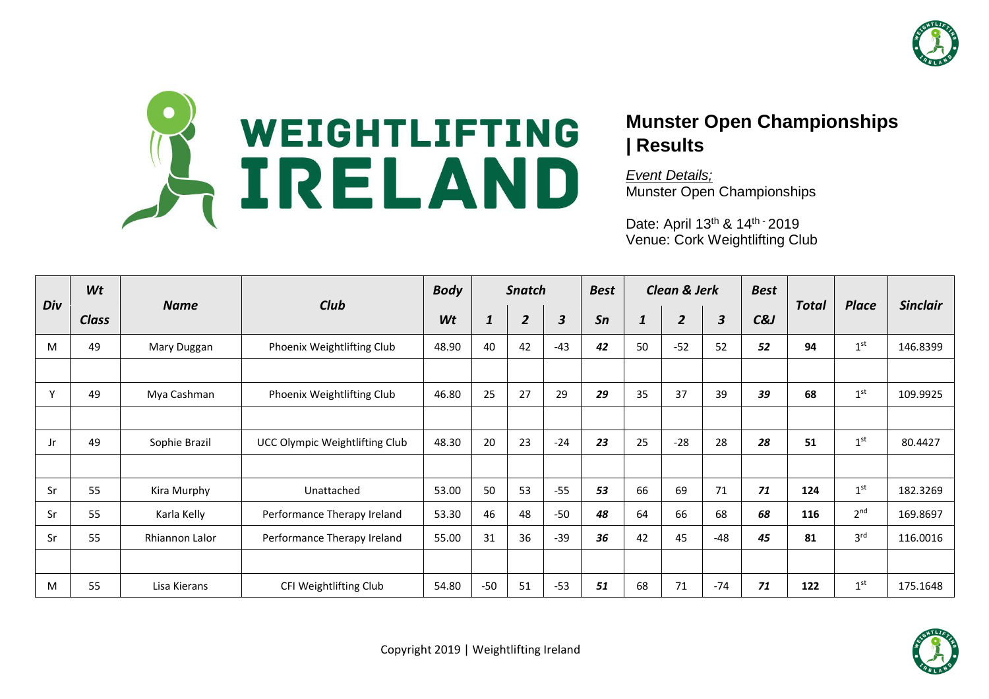



## **Munster Open Championships | Results**

*Event Details;* Munster Open Championships

Date: April 13<sup>th</sup> & 14<sup>th -</sup> 2019 Venue: Cork Weightlifting Club

| Div | Wt           |                |                                | <b>Body</b><br><b>Snatch</b> |       |                | <b>Best</b>             |    | <b>Clean &amp; Jerk</b> |                | <b>Best</b> |        |              |                 |                 |
|-----|--------------|----------------|--------------------------------|------------------------------|-------|----------------|-------------------------|----|-------------------------|----------------|-------------|--------|--------------|-----------------|-----------------|
|     | <b>Class</b> | <b>Name</b>    | Club                           | Wt                           | 1     | $\overline{2}$ | $\overline{\mathbf{3}}$ | Sn | $\mathbf{1}$            | $\overline{2}$ | 3           | $C\&J$ | <b>Total</b> | <b>Place</b>    | <b>Sinclair</b> |
| M   | 49           | Mary Duggan    | Phoenix Weightlifting Club     | 48.90                        | 40    | 42             | $-43$                   | 42 | 50                      | $-52$          | 52          | 52     | 94           | 1 <sup>st</sup> | 146.8399        |
|     |              |                |                                |                              |       |                |                         |    |                         |                |             |        |              |                 |                 |
| Υ   | 49           | Mya Cashman    | Phoenix Weightlifting Club     | 46.80                        | 25    | 27             | 29                      | 29 | 35                      | 37             | 39          | 39     | 68           | 1 <sup>st</sup> | 109.9925        |
|     |              |                |                                |                              |       |                |                         |    |                         |                |             |        |              |                 |                 |
| Jr. | 49           | Sophie Brazil  | UCC Olympic Weightlifting Club | 48.30                        | 20    | 23             | $-24$                   | 23 | 25                      | $-28$          | 28          | 28     | 51           | 1 <sup>st</sup> | 80.4427         |
|     |              |                |                                |                              |       |                |                         |    |                         |                |             |        |              |                 |                 |
| Sr  | 55           | Kira Murphy    | Unattached                     | 53.00                        | 50    | 53             | $-55$                   | 53 | 66                      | 69             | 71          | 71     | 124          | 1 <sup>st</sup> | 182.3269        |
| Sr  | 55           | Karla Kelly    | Performance Therapy Ireland    | 53.30                        | 46    | 48             | $-50$                   | 48 | 64                      | 66             | 68          | 68     | 116          | 2 <sup>nd</sup> | 169.8697        |
| Sr  | 55           | Rhiannon Lalor | Performance Therapy Ireland    | 55.00                        | 31    | 36             | $-39$                   | 36 | 42                      | 45             | $-48$       | 45     | 81           | 3 <sup>rd</sup> | 116.0016        |
|     |              |                |                                |                              |       |                |                         |    |                         |                |             |        |              |                 |                 |
| M   | 55           | Lisa Kierans   | CFI Weightlifting Club         | 54.80                        | $-50$ | 51             | $-53$                   | 51 | 68                      | 71             | $-74$       | 71     | 122          | 1 <sup>st</sup> | 175.1648        |

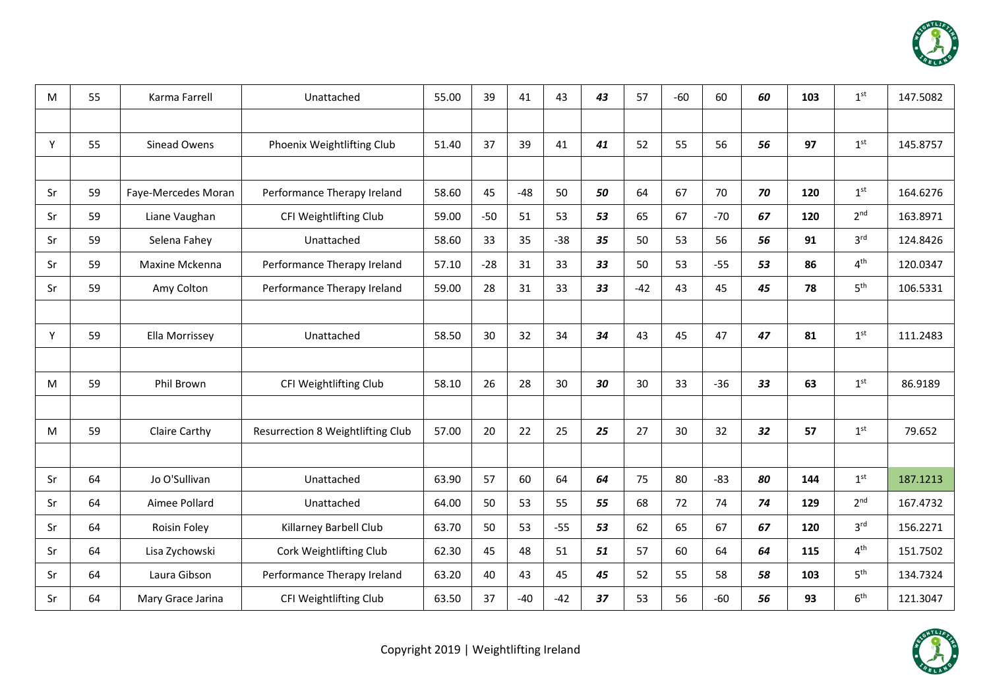

| м  | 55 | Karma Farrell       | Unattached                        | 55.00 | 39    | 41    | 43    | 43 | 57    | $-60$ | 60    | 60 | 103 | 1 <sup>st</sup> | 147.5082 |
|----|----|---------------------|-----------------------------------|-------|-------|-------|-------|----|-------|-------|-------|----|-----|-----------------|----------|
|    |    |                     |                                   |       |       |       |       |    |       |       |       |    |     |                 |          |
| Y  | 55 | Sinead Owens        | Phoenix Weightlifting Club        | 51.40 | 37    | 39    | 41    | 41 | 52    | 55    | 56    | 56 | 97  | 1 <sup>st</sup> | 145.8757 |
|    |    |                     |                                   |       |       |       |       |    |       |       |       |    |     |                 |          |
| Sr | 59 | Faye-Mercedes Moran | Performance Therapy Ireland       | 58.60 | 45    | $-48$ | 50    | 50 | 64    | 67    | 70    | 70 | 120 | 1 <sup>st</sup> | 164.6276 |
| Sr | 59 | Liane Vaughan       | CFI Weightlifting Club            | 59.00 | $-50$ | 51    | 53    | 53 | 65    | 67    | $-70$ | 67 | 120 | 2 <sup>nd</sup> | 163.8971 |
| Sr | 59 | Selena Fahey        | Unattached                        | 58.60 | 33    | 35    | $-38$ | 35 | 50    | 53    | 56    | 56 | 91  | 3 <sup>rd</sup> | 124.8426 |
| Sr | 59 | Maxine Mckenna      | Performance Therapy Ireland       | 57.10 | $-28$ | 31    | 33    | 33 | 50    | 53    | $-55$ | 53 | 86  | 4 <sup>th</sup> | 120.0347 |
| Sr | 59 | Amy Colton          | Performance Therapy Ireland       | 59.00 | 28    | 31    | 33    | 33 | $-42$ | 43    | 45    | 45 | 78  | 5 <sup>th</sup> | 106.5331 |
|    |    |                     |                                   |       |       |       |       |    |       |       |       |    |     |                 |          |
| Y  | 59 | Ella Morrissey      | Unattached                        | 58.50 | 30    | 32    | 34    | 34 | 43    | 45    | 47    | 47 | 81  | 1 <sup>st</sup> | 111.2483 |
|    |    |                     |                                   |       |       |       |       |    |       |       |       |    |     |                 |          |
| М  | 59 | Phil Brown          | CFI Weightlifting Club            | 58.10 | 26    | 28    | 30    | 30 | 30    | 33    | $-36$ | 33 | 63  | 1 <sup>st</sup> | 86.9189  |
|    |    |                     |                                   |       |       |       |       |    |       |       |       |    |     |                 |          |
| М  | 59 | Claire Carthy       | Resurrection 8 Weightlifting Club | 57.00 | 20    | 22    | 25    | 25 | 27    | 30    | 32    | 32 | 57  | 1 <sup>st</sup> | 79.652   |
|    |    |                     |                                   |       |       |       |       |    |       |       |       |    |     |                 |          |
| Sr | 64 | Jo O'Sullivan       | Unattached                        | 63.90 | 57    | 60    | 64    | 64 | 75    | 80    | $-83$ | 80 | 144 | 1 <sup>st</sup> | 187.1213 |
| Sr | 64 | Aimee Pollard       | Unattached                        | 64.00 | 50    | 53    | 55    | 55 | 68    | 72    | 74    | 74 | 129 | 2 <sup>nd</sup> | 167.4732 |
| Sr | 64 | Roisin Foley        | Killarney Barbell Club            | 63.70 | 50    | 53    | $-55$ | 53 | 62    | 65    | 67    | 67 | 120 | 3 <sup>rd</sup> | 156.2271 |
| Sr | 64 | Lisa Zychowski      | Cork Weightlifting Club           | 62.30 | 45    | 48    | 51    | 51 | 57    | 60    | 64    | 64 | 115 | 4 <sup>th</sup> | 151.7502 |
| Sr | 64 | Laura Gibson        | Performance Therapy Ireland       | 63.20 | 40    | 43    | 45    | 45 | 52    | 55    | 58    | 58 | 103 | 5 <sup>th</sup> | 134.7324 |
| Sr | 64 | Mary Grace Jarina   | CFI Weightlifting Club            | 63.50 | 37    | $-40$ | $-42$ | 37 | 53    | 56    | $-60$ | 56 | 93  | 6 <sup>th</sup> | 121.3047 |

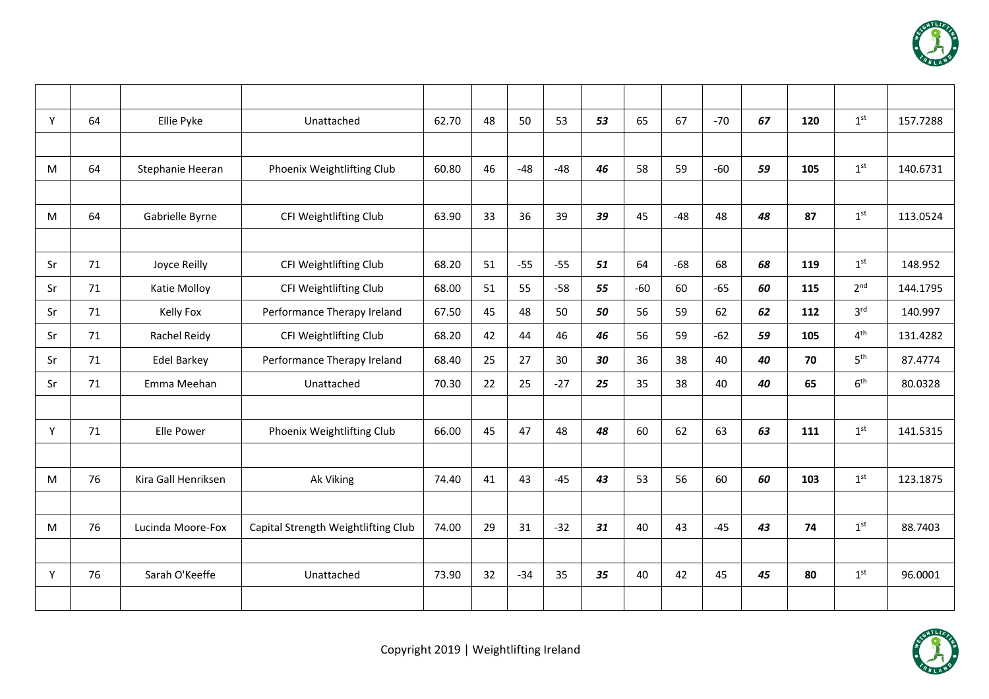

| Y  | 64 | Ellie Pyke          | Unattached                          | 62.70 | 48 | 50    | 53    | 53 | 65    | 67    | $-70$ | 67 | 120 | 1 <sup>st</sup> | 157.7288 |
|----|----|---------------------|-------------------------------------|-------|----|-------|-------|----|-------|-------|-------|----|-----|-----------------|----------|
|    |    |                     |                                     |       |    |       |       |    |       |       |       |    |     |                 |          |
| M  | 64 | Stephanie Heeran    | Phoenix Weightlifting Club          | 60.80 | 46 | $-48$ | $-48$ | 46 | 58    | 59    | $-60$ | 59 | 105 | 1 <sup>st</sup> | 140.6731 |
|    |    |                     |                                     |       |    |       |       |    |       |       |       |    |     |                 |          |
| M  | 64 | Gabrielle Byrne     | CFI Weightlifting Club              | 63.90 | 33 | 36    | 39    | 39 | 45    | $-48$ | 48    | 48 | 87  | 1 <sup>st</sup> | 113.0524 |
|    |    |                     |                                     |       |    |       |       |    |       |       |       |    |     |                 |          |
| Sr | 71 | Joyce Reilly        | CFI Weightlifting Club              | 68.20 | 51 | $-55$ | $-55$ | 51 | 64    | $-68$ | 68    | 68 | 119 | 1 <sup>st</sup> | 148.952  |
| Sr | 71 | Katie Molloy        | CFI Weightlifting Club              | 68.00 | 51 | 55    | $-58$ | 55 | $-60$ | 60    | $-65$ | 60 | 115 | 2 <sup>nd</sup> | 144.1795 |
| Sr | 71 | Kelly Fox           | Performance Therapy Ireland         | 67.50 | 45 | 48    | 50    | 50 | 56    | 59    | 62    | 62 | 112 | 3 <sup>rd</sup> | 140.997  |
| Sr | 71 | Rachel Reidy        | CFI Weightlifting Club              | 68.20 | 42 | 44    | 46    | 46 | 56    | 59    | $-62$ | 59 | 105 | 4 <sup>th</sup> | 131.4282 |
| Sr | 71 | <b>Edel Barkey</b>  | Performance Therapy Ireland         | 68.40 | 25 | 27    | 30    | 30 | 36    | 38    | 40    | 40 | 70  | 5 <sup>th</sup> | 87.4774  |
| Sr | 71 | Emma Meehan         | Unattached                          | 70.30 | 22 | 25    | $-27$ | 25 | 35    | 38    | 40    | 40 | 65  | 6 <sup>th</sup> | 80.0328  |
|    |    |                     |                                     |       |    |       |       |    |       |       |       |    |     |                 |          |
| Y  | 71 | Elle Power          | Phoenix Weightlifting Club          | 66.00 | 45 | 47    | 48    | 48 | 60    | 62    | 63    | 63 | 111 | 1 <sup>st</sup> | 141.5315 |
|    |    |                     |                                     |       |    |       |       |    |       |       |       |    |     |                 |          |
| M  | 76 | Kira Gall Henriksen | Ak Viking                           | 74.40 | 41 | 43    | $-45$ | 43 | 53    | 56    | 60    | 60 | 103 | 1 <sup>st</sup> | 123.1875 |
|    |    |                     |                                     |       |    |       |       |    |       |       |       |    |     |                 |          |
| M  | 76 | Lucinda Moore-Fox   | Capital Strength Weightlifting Club | 74.00 | 29 | 31    | $-32$ | 31 | 40    | 43    | $-45$ | 43 | 74  | 1 <sup>st</sup> | 88.7403  |
|    |    |                     |                                     |       |    |       |       |    |       |       |       |    |     |                 |          |
| Y  | 76 | Sarah O'Keeffe      | Unattached                          | 73.90 | 32 | $-34$ | 35    | 35 | 40    | 42    | 45    | 45 | 80  | 1 <sup>st</sup> | 96.0001  |
|    |    |                     |                                     |       |    |       |       |    |       |       |       |    |     |                 |          |